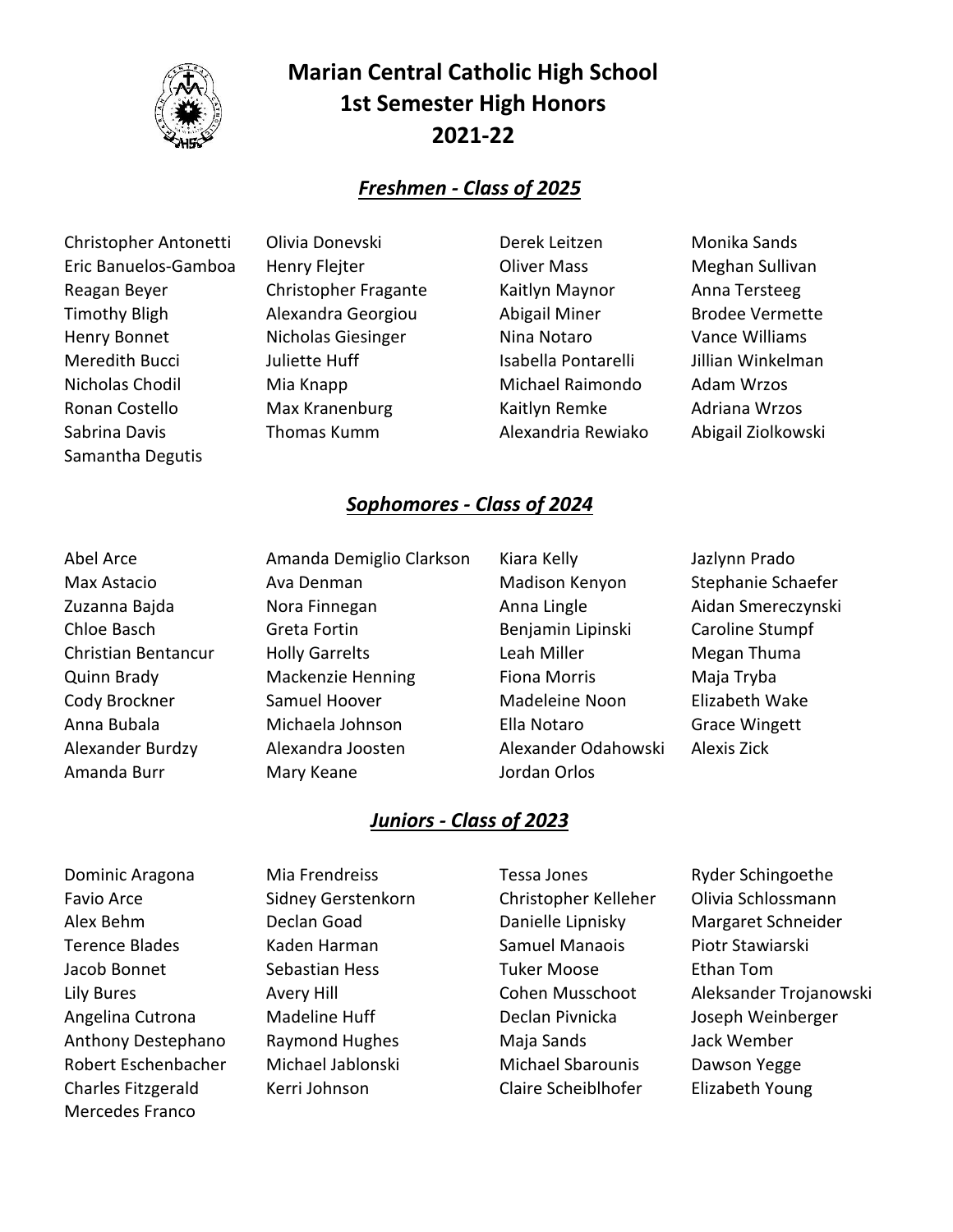

# **Marian Central Catholic High School 1st Semester High Honors 2021-22**

### *Freshmen - Class of 2025*

 Christopher Antonetti Olivia Donevski Derek Leitzen Monika Sands Eric Banuelos-Gamboa Henry Flejter Oliver Mass Meghan Sullivan Reagan Beyer **Christopher Fragante** Kaitlyn Maynor Anna Tersteeg Timothy Bligh **Alexandra Georgiou** Abigail Miner Brodee Vermette Henry Bonnet Micholas Giesinger Nina Notaro Vance Williams Meredith Bucci and Juliette Huff **Isabella Pontarelli** Jillian Winkelman Nicholas Chodil Mia Knapp Michael Raimondo Adam Wrzos Ronan Costello Max Kranenburg Kaitlyn Remke Adriana Wrzos Sabrina Davis **Thomas Kumm** Alexandria Rewiako Abigail Ziolkowski Samantha Degutis

### *Sophomores - Class of 2024*

 Abel Arce Amanda Demiglio Clarkson Kiara Kelly Jazlynn Prado Max Astacio Ava Denman Madison Kenyon Stephanie Schaefer Zuzanna Bajda Nora Finnegan Anna Lingle Aidan Smereczynski Chloe Basch Greta Fortin Benjamin Lipinski Caroline Stumpf Christian Bentancur Holly Garrelts **Leah Miller** Megan Thuma Quinn Brady Mackenzie Henning Fiona Morris Maja Tryba Cody Brockner Samuel Hoover Madeleine Noon Elizabeth Wake Anna Bubala Michaela Johnson Ella Notaro Grace Wingett Alexander Burdzy Alexandra Joosten Alexander Odahowski Alexis Zick Amanda Burr **Mary Keane** Mary Keane Jordan Orlos

- 
- 

## *Juniors - Class of 2023*

 Dominic Aragona Mia Frendreiss Tessa Jones Ryder Schingoethe Favio Arce Sidney Gerstenkorn Christopher Kelleher Olivia Schlossmann Alex Behm Declan Goad Danielle Lipnisky Margaret Schneider Terence Blades Kaden Harman Samuel Manaois Piotr Stawiarski Jacob Bonnet Sebastian Hess Tuker Moose Ethan Tom Angelina Cutrona Madeline Huff Declan Pivnicka Joseph Weinberger Anthony Destephano Raymond Hughes Maja Sands Jack Wember Robert Eschenbacher Michael Jablonski Michael Sbarounis Dawson Yegge Charles Fitzgerald Kerri Johnson Claire Scheiblhofer Elizabeth Young Mercedes Franco

Lily Bures **Avery Hill** Avery Hill Cohen Musschoot Aleksander Trojanowski